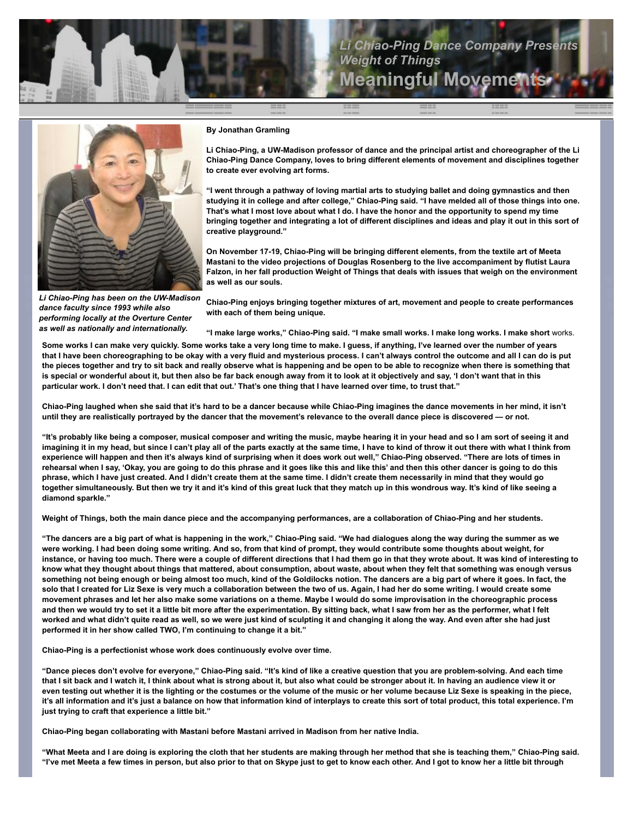

## **Li Chiao-Ping Dance Company Present** *Weight of Things* **Meaningful Movem**



## **By Jonathan Gramling**

**Li Chiao-Ping, a UW-Madison professor of dance and the principal artist and choreographer of the Li Chiao-Ping Dance Company, loves to bring different elements of movement and disciplines together to create ever evolving art forms.**

**"I went through a pathway of loving martial arts to studying ballet and doing gymnastics and then studying it in college and after college," Chiao-Ping said. "I have melded all of those things into one. That's what I most love about what I do. I have the honor and the opportunity to spend my time bringing together and integrating a lot of different disciplines and ideas and play it out in this sort of creative playground."**

**On November 17-19, Chiao-Ping will be bringing different elements, from the textile art of Meeta Mastani to the video projections of Douglas Rosenberg to the live accompaniment by flutist Laura Falzon, in her fall production Weight of Things that deals with issues that weigh on the environment as well as our souls.**

*Li Chiao-Ping has been on the UW-Madison dance faculty since 1993 while also performing locally at the Overture Center as well as nationally and internationally.*

**Chiao-Ping enjoys bringing together mixtures of art, movement and people to create performances with each of them being unique.**

**"I make large works," Chiao-Ping said. "I make small works. I make long works. I make short** works.

**Some works I can make very quickly. Some works take a very long time to make. I guess, if anything, I've learned over the number of years that I have been choreographing to be okay with a very fluid and mysterious process. I can't always control the outcome and all I can do is put the pieces together and try to sit back and really observe what is happening and be open to be able to recognize when there is something that is special or wonderful about it, but then also be far back enough away from it to look at it objectively and say, 'I don't want that in this particular work. I don't need that. I can edit that out.' That's one thing that I have learned over time, to trust that."**

**Chiao-Ping laughed when she said that it's hard to be a dancer because while Chiao-Ping imagines the dance movements in her mind, it isn't until they are realistically portrayed by the dancer that the movement's relevance to the overall dance piece is discovered — or not.**

**"It's probably like being a composer, musical composer and writing the music, maybe hearing it in your head and so I am sort of seeing it and imagining it in my head, but since I can't play all of the parts exactly at the same time, I have to kind of throw it out there with what I think from experience will happen and then it's always kind of surprising when it does work out well," Chiao-Ping observed. "There are lots of times in rehearsal when I say, 'Okay, you are going to do this phrase and it goes like this and like this' and then this other dancer is going to do this phrase, which I have just created. And I didn't create them at the same time. I didn't create them necessarily in mind that they would go together simultaneously. But then we try it and it's kind of this great luck that they match up in this wondrous way. It's kind of like seeing a diamond sparkle."**

**Weight of Things, both the main dance piece and the accompanying performances, are a collaboration of Chiao-Ping and her students.**

**"The dancers are a big part of what is happening in the work," Chiao-Ping said. "We had dialogues along the way during the summer as we were working. I had been doing some writing. And so, from that kind of prompt, they would contribute some thoughts about weight, for instance, or having too much. There were a couple of different directions that I had them go in that they wrote about. It was kind of interesting to know what they thought about things that mattered, about consumption, about waste, about when they felt that something was enough versus**  something not being enough or being almost too much, kind of the Goldilocks notion. The dancers are a big part of where it goes. In fact, the **solo that I created for Liz Sexe is very much a collaboration between the two of us. Again, I had her do some writing. I would create some movement phrases and let her also make some variations on a theme. Maybe I would do some improvisation in the choreographic process and then we would try to set it a little bit more after the experimentation. By sitting back, what I saw from her as the performer, what I felt worked and what didn't quite read as well, so we were just kind of sculpting it and changing it along the way. And even after she had just performed it in her show called TWO, I'm continuing to change it a bit."**

**Chiao-Ping is a perfectionist whose work does continuously evolve over time.**

**"Dance pieces don't evolve for everyone," Chiao-Ping said. "It's kind of like a creative question that you are problem-solving. And each time that I sit back and I watch it, I think about what is strong about it, but also what could be stronger about it. In having an audience view it or even testing out whether it is the lighting or the costumes or the volume of the music or her volume because Liz Sexe is speaking in the piece, it's all information and it's just a balance on how that information kind of interplays to create this sort of total product, this total experience. I'm just trying to craft that experience a little bit."**

**Chiao-Ping began collaborating with Mastani before Mastani arrived in Madison from her native India.**

**"What Meeta and I are doing is exploring the cloth that her students are making through her method that she is teaching them," Chiao-Ping said. "I've met Meeta a few times in person, but also prior to that on Skype just to get to know each other. And I got to know her a little bit through**